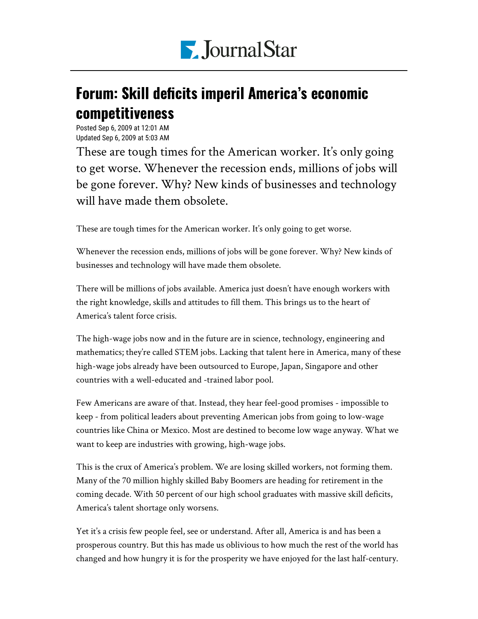

## Forum: Skill deficits imperil America's economic competitiveness

Posted Sep 6, 2009 at 12:01 AM Updated Sep 6, 2009 at 5:03 AM

These are tough times for the American worker. It's only going to get worse. Whenever the recession ends, millions of jobs will be gone forever. Why? New kinds of businesses and technology will have made them obsolete.

These are tough times for the American worker. It's only going to get worse.

Whenever the recession ends, millions of jobs will be gone forever. Why? New kinds of businesses and technology will have made them obsolete.

There will be millions of jobs available. America just doesn't have enough workers with the right knowledge, skills and attitudes to fill them. This brings us to the heart of America's talent force crisis.

The high-wage jobs now and in the future are in science, technology, engineering and mathematics; they're called STEM jobs. Lacking that talent here in America, many of these high-wage jobs already have been outsourced to Europe, Japan, Singapore and other countries with a well-educated and -trained labor pool.

Few Americans are aware of that. Instead, they hear feel-good promises - impossible to keep - from political leaders about preventing American jobs from going to low-wage countries like China or Mexico. Most are destined to become low wage anyway. What we want to keep are industries with growing, high-wage jobs.

This is the crux of America's problem. We are losing skilled workers, not forming them. Many of the 70 million highly skilled Baby Boomers are heading for retirement in the coming decade. With 50 percent of our high school graduates with massive skill deficits, America's talent shortage only worsens.

Yet it's a crisis few people feel, see or understand. After all, America is and has been a prosperous country. But this has made us oblivious to how much the rest of the world has changed and how hungry it is for the prosperity we have enjoyed for the last half-century.